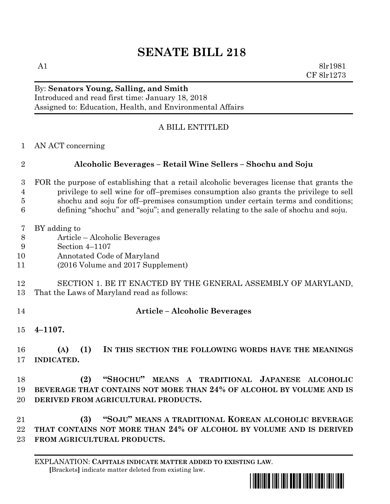## **SENATE BILL 218**

A1 8lr1981 CF 8lr1273

## By: **Senators Young, Salling, and Smith** Introduced and read first time: January 18, 2018

Assigned to: Education, Health, and Environmental Affairs

## A BILL ENTITLED

AN ACT concerning

## **Alcoholic Beverages – Retail Wine Sellers – Shochu and Soju**

- FOR the purpose of establishing that a retail alcoholic beverages license that grants the privilege to sell wine for off–premises consumption also grants the privilege to sell shochu and soju for off–premises consumption under certain terms and conditions; defining "shochu" and "soju"; and generally relating to the sale of shochu and soju.
- BY adding to
- Article Alcoholic Beverages
- Section 4–1107
- Annotated Code of Maryland
- (2016 Volume and 2017 Supplement)
- SECTION 1. BE IT ENACTED BY THE GENERAL ASSEMBLY OF MARYLAND, That the Laws of Maryland read as follows:
- 
- **Article – Alcoholic Beverages**
- **4–1107.**

 **(A) (1) IN THIS SECTION THE FOLLOWING WORDS HAVE THE MEANINGS INDICATED.**

 **(2) "SHOCHU" MEANS A TRADITIONAL JAPANESE ALCOHOLIC BEVERAGE THAT CONTAINS NOT MORE THAN 24% OF ALCOHOL BY VOLUME AND IS DERIVED FROM AGRICULTURAL PRODUCTS.**

 **(3) "SOJU" MEANS A TRADITIONAL KOREAN ALCOHOLIC BEVERAGE THAT CONTAINS NOT MORE THAN 24% OF ALCOHOL BY VOLUME AND IS DERIVED FROM AGRICULTURAL PRODUCTS.**

EXPLANATION: **CAPITALS INDICATE MATTER ADDED TO EXISTING LAW**.  **[**Brackets**]** indicate matter deleted from existing law.